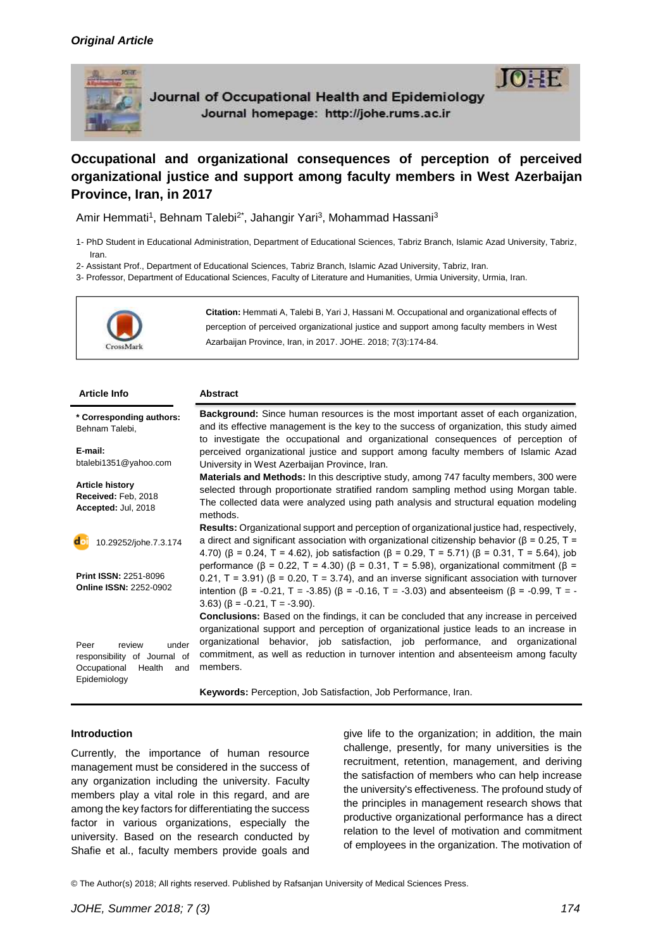

Journal of Occupational Health and Epidemiology Journal homepage: http://johe.rums.ac.ir



**Occupational and organizational consequences of perception of perceived organizational justice and support among faculty members in West Azerbaijan Province, Iran, in 2017**

Amir Hemmati<sup>1</sup>, Behnam Talebi<sup>2\*</sup>, Jahangir Yari<sup>3</sup>, Mohammad Hassani<sup>3</sup>

- 1- PhD Student in Educational Administration, Department of Educational Sciences, Tabriz Branch, Islamic Azad University, Tabriz, Iran.
- 2- Assistant Prof., Department of Educational Sciences, Tabriz Branch, Islamic Azad University, Tabriz, Iran.

3- Professor, Department of Educational Sciences, Faculty of Literature and Humanities, Urmia University, Urmia, Iran.



| <b>Article Info</b>                                                                                      | <b>Abstract</b>                                                                                                                                                                                                                                                                                                                                                                                                                      |
|----------------------------------------------------------------------------------------------------------|--------------------------------------------------------------------------------------------------------------------------------------------------------------------------------------------------------------------------------------------------------------------------------------------------------------------------------------------------------------------------------------------------------------------------------------|
| * Corresponding authors:<br>Behnam Talebi,                                                               | Background: Since human resources is the most important asset of each organization,<br>and its effective management is the key to the success of organization, this study aimed<br>to investigate the occupational and organizational consequences of perception of                                                                                                                                                                  |
| E-mail:<br>btalebi1351@yahoo.com                                                                         | perceived organizational justice and support among faculty members of Islamic Azad<br>University in West Azerbaijan Province, Iran.                                                                                                                                                                                                                                                                                                  |
| <b>Article history</b><br>Received: Feb, 2018<br>Accepted: Jul, 2018                                     | <b>Materials and Methods:</b> In this descriptive study, among 747 faculty members, 300 were<br>selected through proportionate stratified random sampling method using Morgan table.<br>The collected data were analyzed using path analysis and structural equation modeling<br>methods.                                                                                                                                            |
| do<br>10.29252/johe.7.3.174                                                                              | Results: Organizational support and perception of organizational justice had, respectively,<br>a direct and significant association with organizational citizenship behavior ( $\beta$ = 0.25, T =<br>4.70) ( $\beta$ = 0.24, T = 4.62), job satisfaction ( $\beta$ = 0.29, T = 5.71) ( $\beta$ = 0.31, T = 5.64), job<br>performance ( $\beta$ = 0.22, T = 4.30) ( $\beta$ = 0.31, T = 5.98), organizational commitment ( $\beta$ = |
| <b>Print ISSN: 2251-8096</b><br><b>Online ISSN: 2252-0902</b>                                            | 0.21, $T = 3.91$ ) ( $\beta = 0.20$ , $T = 3.74$ ), and an inverse significant association with turnover<br>intention ( $\beta$ = -0.21, T = -3.85) ( $\beta$ = -0.16, T = -3.03) and absenteeism ( $\beta$ = -0.99, T = -<br>$(3.63)$ ( $\beta$ = -0.21, T = -3.90).                                                                                                                                                                |
| under<br>Peer<br>review<br>responsibility of Journal of<br>Occupational<br>Health<br>and<br>Epidemiology | <b>Conclusions:</b> Based on the findings, it can be concluded that any increase in perceived<br>organizational support and perception of organizational justice leads to an increase in<br>organizational behavior, job satisfaction, job performance, and organizational<br>commitment, as well as reduction in turnover intention and absenteeism among faculty<br>members.                                                       |
|                                                                                                          | Keywords: Perception, Job Satisfaction, Job Performance, Iran.                                                                                                                                                                                                                                                                                                                                                                       |

# **Introduction**

Currently, the importance of human resource management must be considered in the success of any organization including the university. Faculty members play a vital role in this regard, and are among the key factors for differentiating the success factor in various organizations, especially the university. Based on the research conducted by Shafie et al., faculty members provide goals and give life to the organization; in addition, the main challenge, presently, for many universities is the recruitment, retention, management, and deriving the satisfaction of members who can help increase the university's effectiveness. The profound study of the principles in management research shows that productive organizational performance has a direct relation to the level of motivation and commitment of employees in the organization. The motivation of

© The Author(s) 2018; All rights reserved. Published by Rafsanjan University of Medical Sciences Press.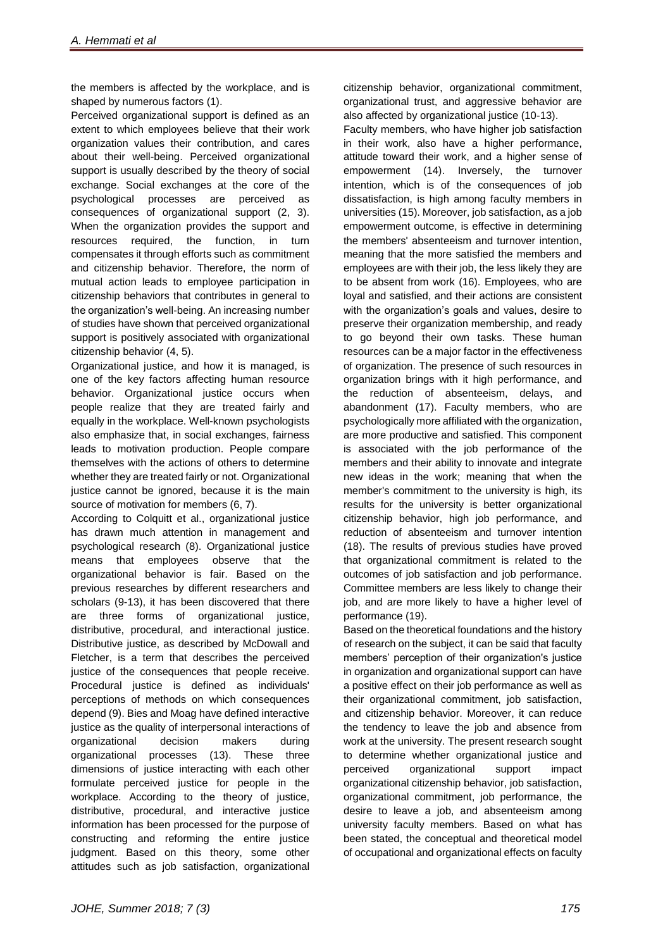the members is affected by the workplace, and is shaped by numerous factors (1).

Perceived organizational support is defined as an extent to which employees believe that their work organization values their contribution, and cares about their well-being. Perceived organizational support is usually described by the theory of social exchange. Social exchanges at the core of the psychological processes are perceived as consequences of organizational support (2, 3). When the organization provides the support and resources required, the function, in turn compensates it through efforts such as commitment and citizenship behavior. Therefore, the norm of mutual action leads to employee participation in citizenship behaviors that contributes in general to the organization's well-being. An increasing number of studies have shown that perceived organizational support is positively associated with organizational citizenship behavior (4, 5).

Organizational justice, and how it is managed, is one of the key factors affecting human resource behavior. Organizational justice occurs when people realize that they are treated fairly and equally in the workplace. Well-known psychologists also emphasize that, in social exchanges, fairness leads to motivation production. People compare themselves with the actions of others to determine whether they are treated fairly or not. Organizational justice cannot be ignored, because it is the main source of motivation for members (6, 7).

According to Colquitt et al., organizational justice has drawn much attention in management and psychological research (8). Organizational justice means that employees observe that the organizational behavior is fair. Based on the previous researches by different researchers and scholars (9-13), it has been discovered that there are three forms of organizational justice, distributive, procedural, and interactional justice. Distributive justice, as described by McDowall and Fletcher, is a term that describes the perceived justice of the consequences that people receive. Procedural justice is defined as individuals' perceptions of methods on which consequences depend (9). Bies and Moag have defined interactive justice as the quality of interpersonal interactions of organizational decision makers during organizational processes (13). These three dimensions of justice interacting with each other formulate perceived justice for people in the workplace. According to the theory of justice, distributive, procedural, and interactive justice information has been processed for the purpose of constructing and reforming the entire justice judgment. Based on this theory, some other attitudes such as job satisfaction, organizational

citizenship behavior, organizational commitment, organizational trust, and aggressive behavior are also affected by organizational justice (10-13).

Faculty members, who have higher job satisfaction in their work, also have a higher performance, attitude toward their work, and a higher sense of empowerment (14). Inversely, the turnover intention, which is of the consequences of job dissatisfaction, is high among faculty members in universities (15). Moreover, job satisfaction, as a job empowerment outcome, is effective in determining the members' absenteeism and turnover intention, meaning that the more satisfied the members and employees are with their job, the less likely they are to be absent from work (16). Employees, who are loyal and satisfied, and their actions are consistent with the organization's goals and values, desire to preserve their organization membership, and ready to go beyond their own tasks. These human resources can be a major factor in the effectiveness of organization. The presence of such resources in organization brings with it high performance, and the reduction of absenteeism, delays, and abandonment (17). Faculty members, who are psychologically more affiliated with the organization, are more productive and satisfied. This component is associated with the job performance of the members and their ability to innovate and integrate new ideas in the work; meaning that when the member's commitment to the university is high, its results for the university is better organizational citizenship behavior, high job performance, and reduction of absenteeism and turnover intention (18). The results of previous studies have proved that organizational commitment is related to the outcomes of job satisfaction and job performance. Committee members are less likely to change their job, and are more likely to have a higher level of performance (19).

Based on the theoretical foundations and the history of research on the subject, it can be said that faculty members' perception of their organization's justice in organization and organizational support can have a positive effect on their job performance as well as their organizational commitment, job satisfaction, and citizenship behavior. Moreover, it can reduce the tendency to leave the job and absence from work at the university. The present research sought to determine whether organizational justice and perceived organizational support impact organizational citizenship behavior, job satisfaction, organizational commitment, job performance, the desire to leave a job, and absenteeism among university faculty members. Based on what has been stated, the conceptual and theoretical model of occupational and organizational effects on faculty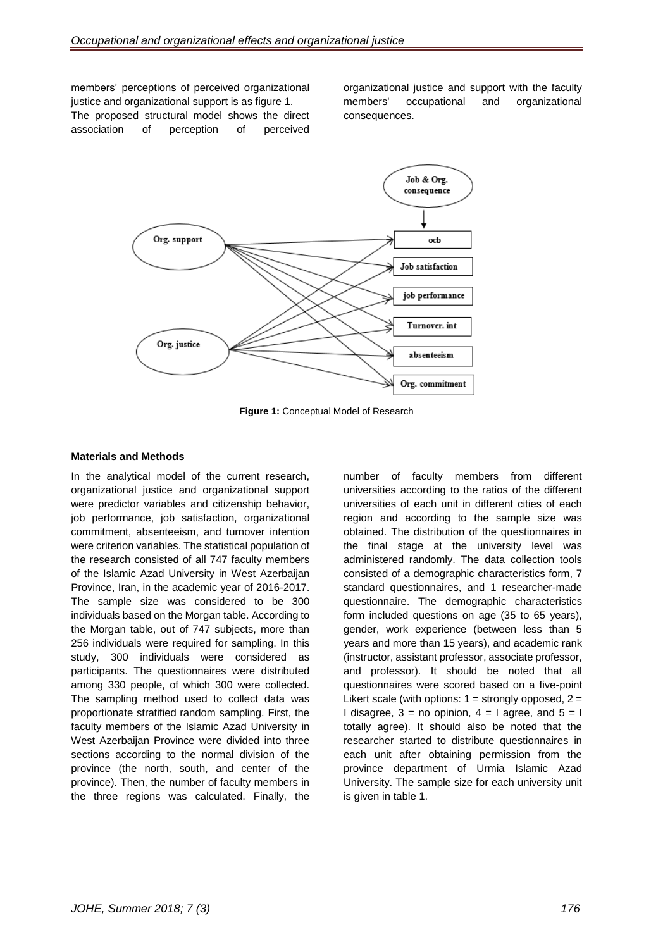members' perceptions of perceived organizational justice and organizational support is as figure 1. The proposed structural model shows the direct association of perception of perceived

organizational justice and support with the faculty members' occupational and organizational consequences.



**Figure 1:** Conceptual Model of Research

# **Materials and Methods**

In the analytical model of the current research, organizational justice and organizational support were predictor variables and citizenship behavior, job performance, job satisfaction, organizational commitment, absenteeism, and turnover intention were criterion variables. The statistical population of the research consisted of all 747 faculty members of the Islamic Azad University in West Azerbaijan Province, Iran, in the academic year of 2016-2017. The sample size was considered to be 300 individuals based on the Morgan table. According to the Morgan table, out of 747 subjects, more than 256 individuals were required for sampling. In this study, 300 individuals were considered as participants. The questionnaires were distributed among 330 people, of which 300 were collected. The sampling method used to collect data was proportionate stratified random sampling. First, the faculty members of the Islamic Azad University in West Azerbaijan Province were divided into three sections according to the normal division of the province (the north, south, and center of the province). Then, the number of faculty members in the three regions was calculated. Finally, the number of faculty members from different universities according to the ratios of the different universities of each unit in different cities of each region and according to the sample size was obtained. The distribution of the questionnaires in the final stage at the university level was administered randomly. The data collection tools consisted of a demographic characteristics form, 7 standard questionnaires, and 1 researcher-made questionnaire. The demographic characteristics form included questions on age (35 to 65 years), gender, work experience (between less than 5 years and more than 15 years), and academic rank (instructor, assistant professor, associate professor, and professor). It should be noted that all questionnaires were scored based on a five-point Likert scale (with options:  $1 =$  strongly opposed,  $2 =$ I disagree,  $3 = no$  opinion,  $4 = 1$  agree, and  $5 = 1$ totally agree). It should also be noted that the researcher started to distribute questionnaires in each unit after obtaining permission from the province department of Urmia Islamic Azad University. The sample size for each university unit is given in table 1.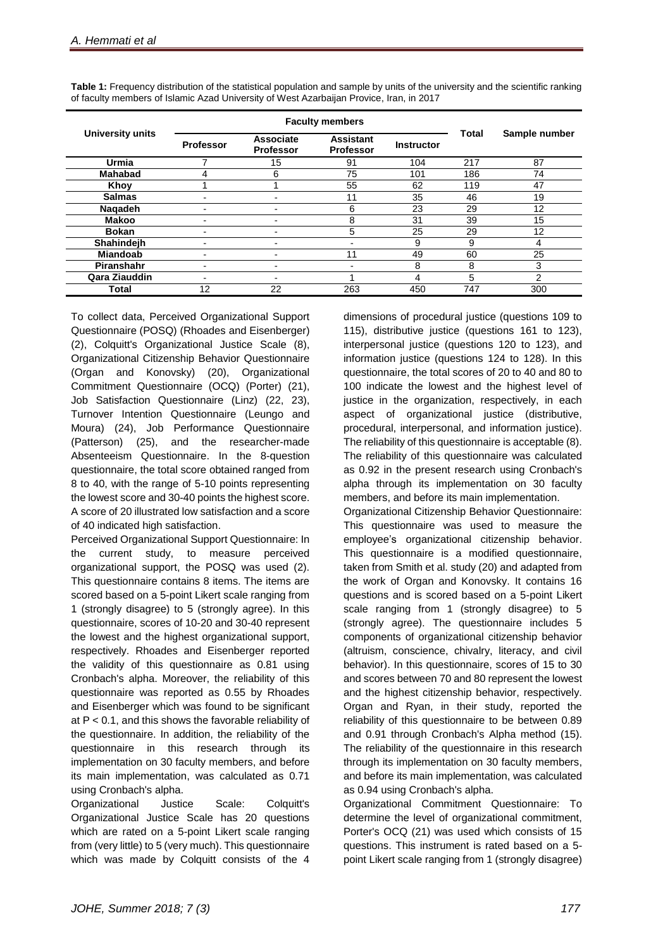| <b>University units</b> | <b>Faculty members</b> |                               |                                      |                   |              |                |  |
|-------------------------|------------------------|-------------------------------|--------------------------------------|-------------------|--------------|----------------|--|
|                         | <b>Professor</b>       | Associate<br><b>Professor</b> | <b>Assistant</b><br><b>Professor</b> | <b>Instructor</b> | <b>Total</b> | Sample number  |  |
| <b>Urmia</b>            |                        | 15                            | 91                                   | 104               | 217          | 87             |  |
| <b>Mahabad</b>          | 4                      | 6                             | 75                                   | 101               | 186          | 74             |  |
| Khoy                    |                        |                               | 55                                   | 62                | 119          | 47             |  |
| <b>Salmas</b>           |                        | ۰                             | 11                                   | 35                | 46           | 19             |  |
| Naqadeh                 |                        | -                             | 6                                    | 23                | 29           | 12             |  |
| <b>Makoo</b>            |                        | -                             | 8                                    | 31                | 39           | 15             |  |
| <b>Bokan</b>            |                        | ۰                             | 5                                    | 25                | 29           | 12             |  |
| Shahindejh              |                        | ۰                             |                                      | 9                 | 9            | 4              |  |
| <b>Miandoab</b>         |                        | ٠                             | 11                                   | 49                | 60           | 25             |  |
| Piranshahr              |                        | ۰                             |                                      | 8                 | 8            | 3              |  |
| Qara Ziauddin           |                        | -                             |                                      | 4                 | 5            | $\overline{2}$ |  |
| Total                   | 12                     | 22                            | 263                                  | 450               | 747          | 300            |  |

**Table 1:** Frequency distribution of the statistical population and sample by units of the university and the scientific ranking of faculty members of Islamic Azad University of West Azarbaijan Provice, Iran, in 2017

To collect data, Perceived Organizational Support Questionnaire (POSQ) (Rhoades and Eisenberger) (2), Colquitt's Organizational Justice Scale (8), Organizational Citizenship Behavior Questionnaire (Organ and Konovsky) (20), Organizational Commitment Questionnaire (OCQ) (Porter) (21), Job Satisfaction Questionnaire (Linz) (22, 23), Turnover Intention Questionnaire (Leungo and Moura) (24), Job Performance Questionnaire (Patterson) (25), and the researcher-made Absenteeism Questionnaire. In the 8-question questionnaire, the total score obtained ranged from 8 to 40, with the range of 5-10 points representing the lowest score and 30-40 points the highest score. A score of 20 illustrated low satisfaction and a score of 40 indicated high satisfaction.

Perceived Organizational Support Questionnaire: In the current study, to measure perceived organizational support, the POSQ was used (2). This questionnaire contains 8 items. The items are scored based on a 5-point Likert scale ranging from 1 (strongly disagree) to 5 (strongly agree). In this questionnaire, scores of 10-20 and 30-40 represent the lowest and the highest organizational support, respectively. Rhoades and Eisenberger reported the validity of this questionnaire as 0.81 using Cronbach's alpha. Moreover, the reliability of this questionnaire was reported as 0.55 by Rhoades and Eisenberger which was found to be significant at  $P < 0.1$ , and this shows the favorable reliability of the questionnaire. In addition, the reliability of the questionnaire in this research through its implementation on 30 faculty members, and before its main implementation, was calculated as 0.71 using Cronbach's alpha.

Organizational Justice Scale: Colquitt's Organizational Justice Scale has 20 questions which are rated on a 5-point Likert scale ranging from (very little) to 5 (very much). This questionnaire which was made by Colquitt consists of the 4 dimensions of procedural justice (questions 109 to 115), distributive justice (questions 161 to 123), interpersonal justice (questions 120 to 123), and information justice (questions 124 to 128). In this questionnaire, the total scores of 20 to 40 and 80 to 100 indicate the lowest and the highest level of justice in the organization, respectively, in each aspect of organizational justice (distributive, procedural, interpersonal, and information justice). The reliability of this questionnaire is acceptable (8). The reliability of this questionnaire was calculated as 0.92 in the present research using Cronbach's alpha through its implementation on 30 faculty members, and before its main implementation.

Organizational Citizenship Behavior Questionnaire: This questionnaire was used to measure the employee's organizational citizenship behavior. This questionnaire is a modified questionnaire, taken from Smith et al. study (20) and adapted from the work of Organ and Konovsky. It contains 16 questions and is scored based on a 5-point Likert scale ranging from 1 (strongly disagree) to 5 (strongly agree). The questionnaire includes 5 components of organizational citizenship behavior (altruism, conscience, chivalry, literacy, and civil behavior). In this questionnaire, scores of 15 to 30 and scores between 70 and 80 represent the lowest and the highest citizenship behavior, respectively. Organ and Ryan, in their study, reported the reliability of this questionnaire to be between 0.89 and 0.91 through Cronbach's Alpha method (15). The reliability of the questionnaire in this research through its implementation on 30 faculty members, and before its main implementation, was calculated as 0.94 using Cronbach's alpha.

Organizational Commitment Questionnaire: To determine the level of organizational commitment, Porter's OCQ (21) was used which consists of 15 questions. This instrument is rated based on a 5 point Likert scale ranging from 1 (strongly disagree)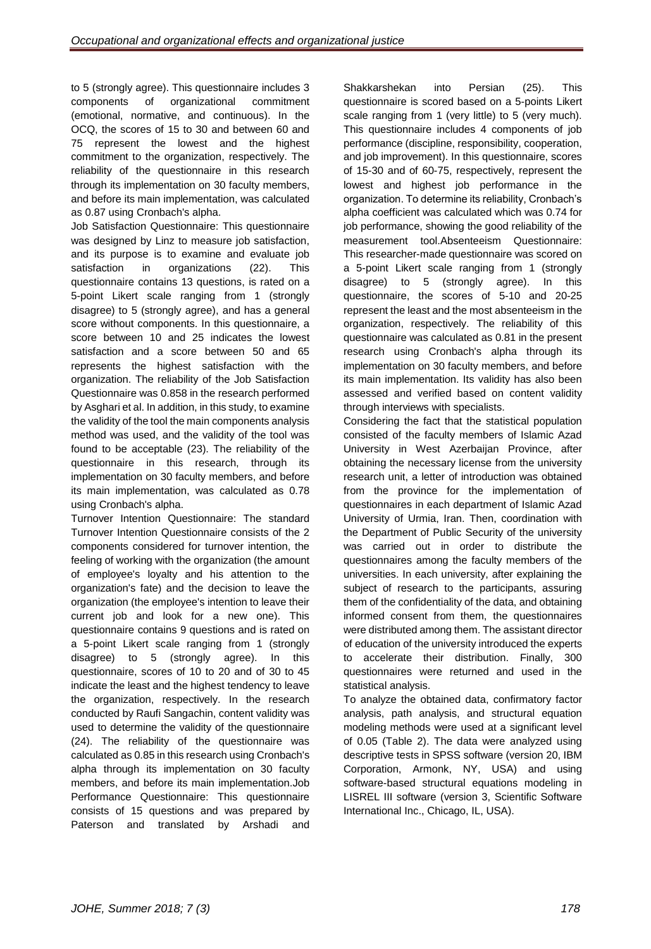to 5 (strongly agree). This questionnaire includes 3 components of organizational commitment (emotional, normative, and continuous). In the OCQ, the scores of 15 to 30 and between 60 and 75 represent the lowest and the highest commitment to the organization, respectively. The reliability of the questionnaire in this research through its implementation on 30 faculty members, and before its main implementation, was calculated as 0.87 using Cronbach's alpha.

Job Satisfaction Questionnaire: This questionnaire was designed by Linz to measure job satisfaction, and its purpose is to examine and evaluate job satisfaction in organizations (22). This questionnaire contains 13 questions, is rated on a 5-point Likert scale ranging from 1 (strongly disagree) to 5 (strongly agree), and has a general score without components. In this questionnaire, a score between 10 and 25 indicates the lowest satisfaction and a score between 50 and 65 represents the highest satisfaction with the organization. The reliability of the Job Satisfaction Questionnaire was 0.858 in the research performed by Asghari et al. In addition, in this study, to examine the validity of the tool the main components analysis method was used, and the validity of the tool was found to be acceptable (23). The reliability of the questionnaire in this research, through its implementation on 30 faculty members, and before its main implementation, was calculated as 0.78 using Cronbach's alpha.

Turnover Intention Questionnaire: The standard Turnover Intention Questionnaire consists of the 2 components considered for turnover intention, the feeling of working with the organization (the amount of employee's loyalty and his attention to the organization's fate) and the decision to leave the organization (the employee's intention to leave their current job and look for a new one). This questionnaire contains 9 questions and is rated on a 5-point Likert scale ranging from 1 (strongly disagree) to 5 (strongly agree). In this questionnaire, scores of 10 to 20 and of 30 to 45 indicate the least and the highest tendency to leave the organization, respectively. In the research conducted by Raufi Sangachin, content validity was used to determine the validity of the questionnaire (24). The reliability of the questionnaire was calculated as 0.85 in this research using Cronbach's alpha through its implementation on 30 faculty members, and before its main implementation.Job Performance Questionnaire: This questionnaire consists of 15 questions and was prepared by Paterson and translated by Arshadi and

Shakkarshekan into Persian (25). This questionnaire is scored based on a 5-points Likert scale ranging from 1 (very little) to 5 (very much). This questionnaire includes 4 components of job performance (discipline, responsibility, cooperation, and job improvement). In this questionnaire, scores of 15-30 and of 60-75, respectively, represent the lowest and highest job performance in the organization. To determine its reliability, Cronbach's alpha coefficient was calculated which was 0.74 for job performance, showing the good reliability of the measurement tool.Absenteeism Questionnaire: This researcher-made questionnaire was scored on a 5-point Likert scale ranging from 1 (strongly disagree) to 5 (strongly agree). In this questionnaire, the scores of 5-10 and 20-25 represent the least and the most absenteeism in the organization, respectively. The reliability of this questionnaire was calculated as 0.81 in the present research using Cronbach's alpha through its implementation on 30 faculty members, and before its main implementation. Its validity has also been assessed and verified based on content validity through interviews with specialists.

Considering the fact that the statistical population consisted of the faculty members of Islamic Azad University in West Azerbaijan Province, after obtaining the necessary license from the university research unit, a letter of introduction was obtained from the province for the implementation of questionnaires in each department of Islamic Azad University of Urmia, Iran. Then, coordination with the Department of Public Security of the university was carried out in order to distribute the questionnaires among the faculty members of the universities. In each university, after explaining the subject of research to the participants, assuring them of the confidentiality of the data, and obtaining informed consent from them, the questionnaires were distributed among them. The assistant director of education of the university introduced the experts to accelerate their distribution. Finally, 300 questionnaires were returned and used in the statistical analysis.

To analyze the obtained data, confirmatory factor analysis, path analysis, and structural equation modeling methods were used at a significant level of 0.05 (Table 2). The data were analyzed using descriptive tests in SPSS software (version 20, IBM Corporation, Armonk, NY, USA) and using software-based structural equations modeling in LISREL III software (version 3, Scientific Software International Inc., Chicago, IL, USA).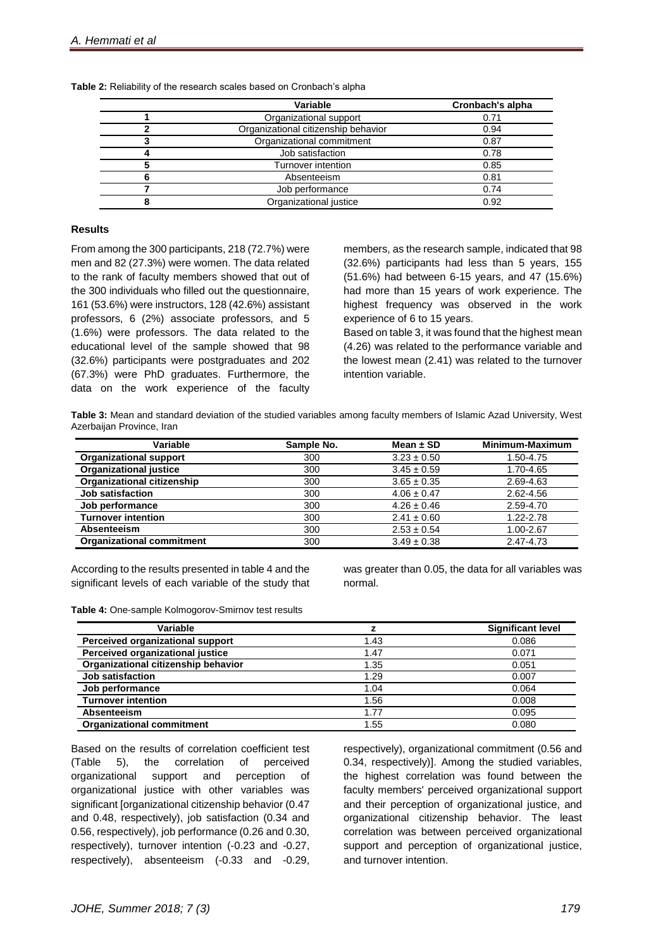| Variable                            | <b>Cronbach's alpha</b> |
|-------------------------------------|-------------------------|
| Organizational support              | 0.71                    |
| Organizational citizenship behavior | 0.94                    |
| Organizational commitment           | 0.87                    |
| Job satisfaction                    | 0.78                    |
| Turnover intention                  | 0.85                    |
| Absenteeism                         | 0.81                    |
| Job performance                     | 0.74                    |
| Organizational justice              | 0.92                    |

**Table 2:** Reliability of the research scales based on Cronbach's alpha

#### **Results**

From among the 300 participants, 218 (72.7%) were men and 82 (27.3%) were women. The data related to the rank of faculty members showed that out of the 300 individuals who filled out the questionnaire, 161 (53.6%) were instructors, 128 (42.6%) assistant professors, 6 (2%) associate professors, and 5 (1.6%) were professors. The data related to the educational level of the sample showed that 98 (32.6%) participants were postgraduates and 202 (67.3%) were PhD graduates. Furthermore, the data on the work experience of the faculty

members, as the research sample, indicated that 98 (32.6%) participants had less than 5 years, 155 (51.6%) had between 6-15 years, and 47 (15.6%) had more than 15 years of work experience. The highest frequency was observed in the work experience of 6 to 15 years.

Based on table 3, it was found that the highest mean (4.26) was related to the performance variable and the lowest mean (2.41) was related to the turnover intention variable.

**Table 3:** Mean and standard deviation of the studied variables among faculty members of Islamic Azad University, West Azerbaijan Province, Iran

| Variable                          | Sample No. | Mean $\pm$ SD   | Minimum-Maximum |
|-----------------------------------|------------|-----------------|-----------------|
| <b>Organizational support</b>     | 300        | $3.23 \pm 0.50$ | 1.50-4.75       |
| <b>Organizational justice</b>     | 300        | $3.45 \pm 0.59$ | 1.70-4.65       |
| <b>Organizational citizenship</b> | 300        | $3.65 \pm 0.35$ | 2.69-4.63       |
| Job satisfaction                  | 300        | $4.06 \pm 0.47$ | 2.62-4.56       |
| Job performance                   | 300        | $4.26 \pm 0.46$ | 2.59-4.70       |
| <b>Turnover intention</b>         | 300        | $2.41 \pm 0.60$ | 1.22-2.78       |
| Absenteeism                       | 300        | $2.53 \pm 0.54$ | 1.00-2.67       |
| <b>Organizational commitment</b>  | 300        | $3.49 \pm 0.38$ | 2.47-4.73       |

According to the results presented in table 4 and the significant levels of each variable of the study that was greater than 0.05, the data for all variables was normal.

| Variable                            |      | <b>Significant level</b> |
|-------------------------------------|------|--------------------------|
| Perceived organizational support    | 1.43 | 0.086                    |
| Perceived organizational justice    | 1.47 | 0.071                    |
| Organizational citizenship behavior | 1.35 | 0.051                    |
| <b>Job satisfaction</b>             | 1.29 | 0.007                    |
| Job performance                     | 1.04 | 0.064                    |
| <b>Turnover intention</b>           | 1.56 | 0.008                    |
| Absenteeism                         | 1.77 | 0.095                    |
| <b>Organizational commitment</b>    | 1.55 | 0.080                    |

Based on the results of correlation coefficient test (Table 5), the correlation of perceived organizational support and perception of organizational justice with other variables was significant [organizational citizenship behavior (0.47 and 0.48, respectively), job satisfaction (0.34 and 0.56, respectively), job performance (0.26 and 0.30, respectively), turnover intention (-0.23 and -0.27, respectively), absenteeism (-0.33 and -0.29,

respectively), organizational commitment (0.56 and 0.34, respectively)]. Among the studied variables, the highest correlation was found between the faculty members' perceived organizational support and their perception of organizational justice, and organizational citizenship behavior. The least correlation was between perceived organizational support and perception of organizational justice, and turnover intention.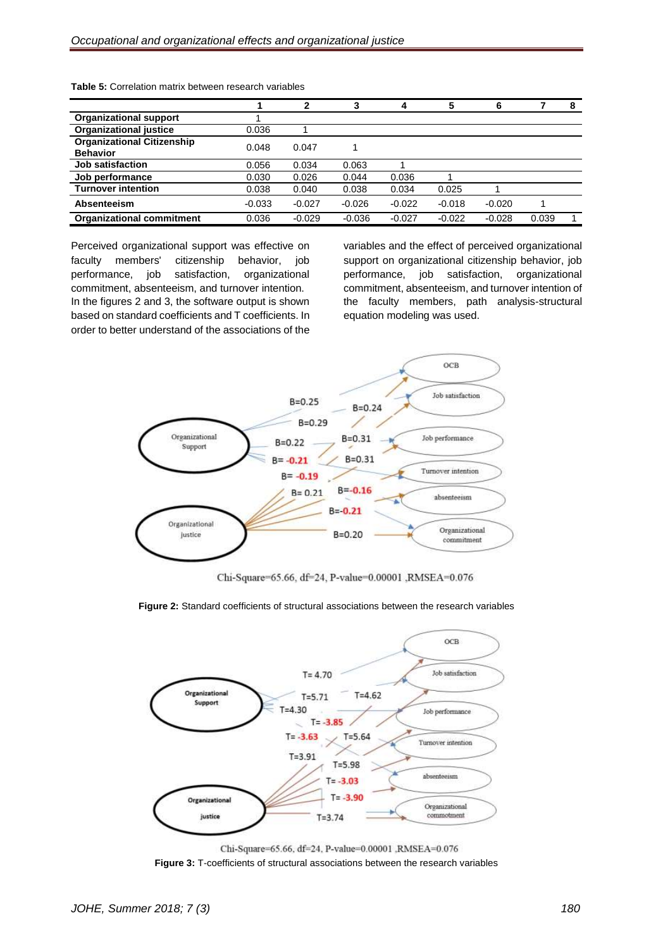|                                                      |          | າ        | 3        | 4        | 5        | 6        |       | 8 |
|------------------------------------------------------|----------|----------|----------|----------|----------|----------|-------|---|
| <b>Organizational support</b>                        |          |          |          |          |          |          |       |   |
| <b>Organizational justice</b>                        | 0.036    |          |          |          |          |          |       |   |
| <b>Organizational Citizenship</b><br><b>Behavior</b> | 0.048    | 0.047    |          |          |          |          |       |   |
| <b>Job satisfaction</b>                              | 0.056    | 0.034    | 0.063    |          |          |          |       |   |
| Job performance                                      | 0.030    | 0.026    | 0.044    | 0.036    |          |          |       |   |
| <b>Turnover intention</b>                            | 0.038    | 0.040    | 0.038    | 0.034    | 0.025    |          |       |   |
| Absenteeism                                          | $-0.033$ | $-0.027$ | $-0.026$ | $-0.022$ | $-0.018$ | $-0.020$ |       |   |
| <b>Organizational commitment</b>                     | 0.036    | $-0.029$ | $-0.036$ | $-0.027$ | $-0.022$ | $-0.028$ | 0.039 |   |

**Table 5:** Correlation matrix between research variables

Perceived organizational support was effective on faculty members' citizenship behavior, job performance, job satisfaction, organizational commitment, absenteeism, and turnover intention. In the figures 2 and 3, the software output is shown based on standard coefficients and T coefficients. In order to better understand of the associations of the

variables and the effect of perceived organizational support on organizational citizenship behavior, job performance, job satisfaction, organizational commitment, absenteeism, and turnover intention of the faculty members, path analysis-structural equation modeling was used.



Chi-Square=65.66, df=24, P-value=0.00001, RMSEA=0.076

### **Figure 2:** Standard coefficients of structural associations between the research variables



Chi-Square=65.66, df=24, P-value=0.00001, RMSEA=0.076 **Figure 3:** T-coefficients of structural associations between the research variables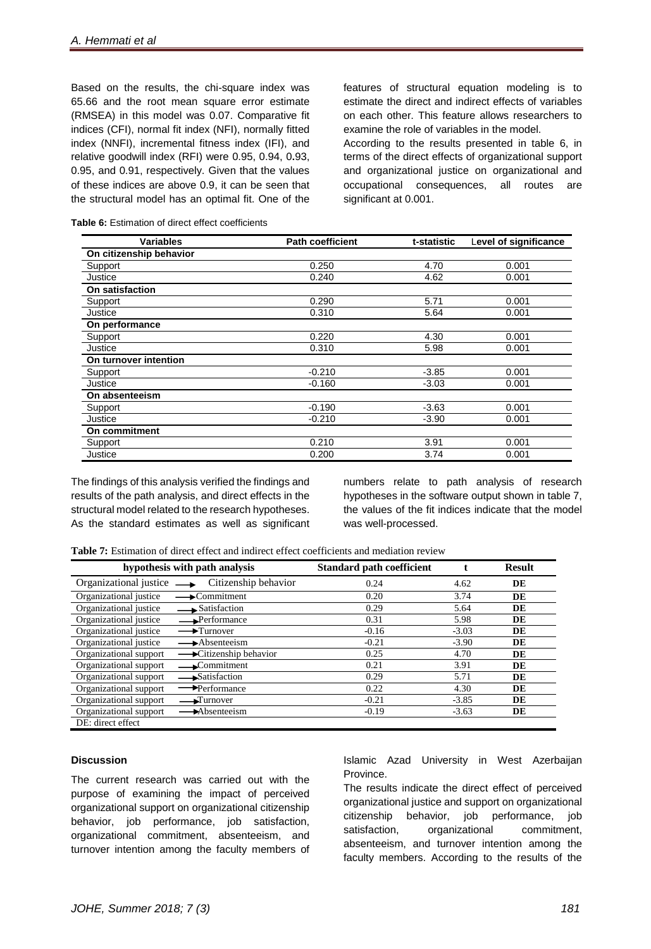Based on the results, the chi-square index was 65.66 and the root mean square error estimate (RMSEA) in this model was 0.07. Comparative fit indices (CFI), normal fit index (NFI), normally fitted index (NNFI), incremental fitness index (IFI), and relative goodwill index (RFI) were 0.95, 0.94, 0**.**93, 0.95, and 0.91, respectively. Given that the values of these indices are above 0.9, it can be seen that the structural model has an optimal fit. One of the

features of structural equation modeling is to estimate the direct and indirect effects of variables on each other. This feature allows researchers to examine the role of variables in the model.

According to the results presented in table 6, in terms of the direct effects of organizational support and organizational justice on organizational and occupational consequences, all routes are significant at 0.001.

| <b>Variables</b>        | <b>Path coefficient</b> | t-statistic | Level of significance |
|-------------------------|-------------------------|-------------|-----------------------|
| On citizenship behavior |                         |             |                       |
| Support                 | 0.250                   | 4.70        | 0.001                 |
| Justice                 | 0.240                   | 4.62        | 0.001                 |
| On satisfaction         |                         |             |                       |
| Support                 | 0.290                   | 5.71        | 0.001                 |
| Justice                 | 0.310                   | 5.64        | 0.001                 |
| On performance          |                         |             |                       |
| Support                 | 0.220                   | 4.30        | 0.001                 |
| Justice                 | 0.310                   | 5.98        | 0.001                 |
| On turnover intention   |                         |             |                       |
| Support                 | $-0.210$                | $-3.85$     | 0.001                 |
| Justice                 | $-0.160$                | $-3.03$     | 0.001                 |
| On absenteeism          |                         |             |                       |
| Support                 | $-0.190$                | $-3.63$     | 0.001                 |
| Justice                 | $-0.210$                | $-3.90$     | 0.001                 |
| On commitment           |                         |             |                       |
| Support                 | 0.210                   | 3.91        | 0.001                 |
| Justice                 | 0.200                   | 3.74        | 0.001                 |

**Table 6:** Estimation of direct effect coefficients

The findings of this analysis verified the findings and results of the path analysis, and direct effects in the structural model related to the research hypotheses. As the standard estimates as well as significant numbers relate to path analysis of research hypotheses in the software output shown in table 7, the values of the fit indices indicate that the model was well-processed.

|  |  |  |  |  | <b>Table 7:</b> Estimation of direct effect and indirect effect coefficients and mediation review |  |  |
|--|--|--|--|--|---------------------------------------------------------------------------------------------------|--|--|
|--|--|--|--|--|---------------------------------------------------------------------------------------------------|--|--|

| hypothesis with path analysis                            | <b>Standard path coefficient</b> |         | <b>Result</b> |
|----------------------------------------------------------|----------------------------------|---------|---------------|
| Organizational justice<br>Citizenship behavior           | 0.24                             | 4.62    | DE            |
| Organizational justice<br>$\rightarrow$ Commitment       | 0.20                             | 3.74    | DE            |
| Organizational justice<br>$\rightarrow$ Satisfaction     | 0.29                             | 5.64    | DE            |
| Organizational justice<br>$\rightarrow$ Performance      | 0.31                             | 5.98    | DE            |
| Organizational justice<br>$\rightarrow$ Turnover         | $-0.16$                          | $-3.03$ | DE            |
| Organizational justice<br>$\rightarrow$ Absenteeism      | $-0.21$                          | $-3.90$ | DE            |
| Organizational support<br>Citizenship behavior           | 0.25                             | 4.70    | DE            |
| Organizational support<br>$\longrightarrow$ Commitment   | 0.21                             | 3.91    | DE            |
| Organizational support<br>Satisfaction                   | 0.29                             | 5.71    | DE            |
| Organizational support<br>→Performance                   | 0.22                             | 4.30    | DE            |
| Organizational support<br>$\blacktriangleright$ Turnover | $-0.21$                          | $-3.85$ | DE            |
| Organizational support<br>$\rightarrow$ Absenteeism      | $-0.19$                          | $-3.63$ | DE            |
| DE: direct effect                                        |                                  |         |               |

# **Discussion**

The current research was carried out with the purpose of examining the impact of perceived organizational support on organizational citizenship behavior, job performance, job satisfaction, organizational commitment, absenteeism, and turnover intention among the faculty members of Islamic Azad University in West Azerbaijan Province.

The results indicate the direct effect of perceived organizational justice and support on organizational citizenship behavior, job performance, job satisfaction, organizational commitment, absenteeism, and turnover intention among the faculty members. According to the results of the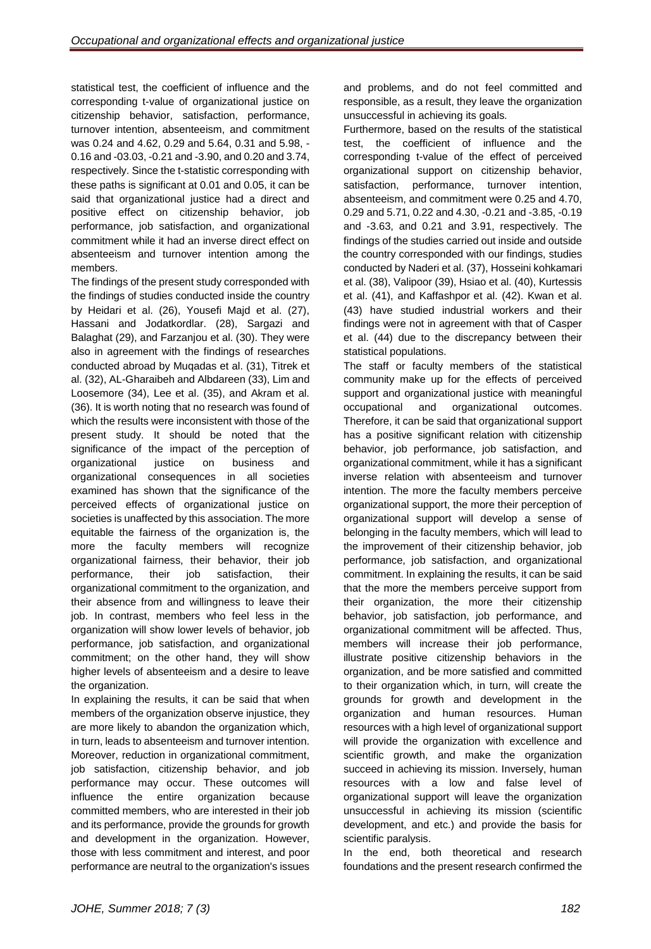statistical test, the coefficient of influence and the corresponding t-value of organizational justice on citizenship behavior, satisfaction, performance, turnover intention, absenteeism, and commitment was 0.24 and 4.62, 0.29 and 5.64, 0.31 and 5.98, - 0.16 and -03.03, -0.21 and -3.90, and 0.20 and 3.74, respectively. Since the t-statistic corresponding with these paths is significant at 0.01 and 0.05, it can be said that organizational justice had a direct and positive effect on citizenship behavior, job performance, job satisfaction, and organizational commitment while it had an inverse direct effect on absenteeism and turnover intention among the members.

The findings of the present study corresponded with the findings of studies conducted inside the country by Heidari et al. (26), Yousefi Majd et al. (27), Hassani and Jodatkordlar. (28), Sargazi and Balaghat (29), and Farzanjou et al. (30). They were also in agreement with the findings of researches conducted abroad by Muqadas et al. (31), Titrek et al. (32), AL-Gharaibeh and Albdareen (33), Lim and Loosemore (34), Lee et al. (35), and Akram et al. (36). It is worth noting that no research was found of which the results were inconsistent with those of the present study. It should be noted that the significance of the impact of the perception of organizational justice on business and organizational consequences in all societies examined has shown that the significance of the perceived effects of organizational justice on societies is unaffected by this association. The more equitable the fairness of the organization is, the more the faculty members will recognize organizational fairness, their behavior, their job performance, their job satisfaction, their organizational commitment to the organization, and their absence from and willingness to leave their job. In contrast, members who feel less in the organization will show lower levels of behavior, job performance, job satisfaction, and organizational commitment; on the other hand, they will show higher levels of absenteeism and a desire to leave the organization.

In explaining the results, it can be said that when members of the organization observe injustice, they are more likely to abandon the organization which, in turn, leads to absenteeism and turnover intention. Moreover, reduction in organizational commitment, job satisfaction, citizenship behavior, and job performance may occur. These outcomes will influence the entire organization because committed members, who are interested in their job and its performance, provide the grounds for growth and development in the organization. However, those with less commitment and interest, and poor performance are neutral to the organization's issues

and problems, and do not feel committed and responsible, as a result, they leave the organization unsuccessful in achieving its goals.

Furthermore, based on the results of the statistical test, the coefficient of influence and the corresponding t-value of the effect of perceived organizational support on citizenship behavior, satisfaction, performance, turnover intention, absenteeism, and commitment were 0.25 and 4.70, 0.29 and 5.71, 0.22 and 4.30, -0.21 and -3.85, -0.19 and -3.63, and 0.21 and 3.91, respectively. The findings of the studies carried out inside and outside the country corresponded with our findings, studies conducted by Naderi et al. (37), Hosseini kohkamari et al. (38), Valipoor (39), Hsiao et al. (40), Kurtessis et al. (41), and Kaffashpor et al. (42). Kwan et al. (43) have studied industrial workers and their findings were not in agreement with that of Casper et al. (44) due to the discrepancy between their statistical populations.

The staff or faculty members of the statistical community make up for the effects of perceived support and organizational justice with meaningful occupational and organizational outcomes. Therefore, it can be said that organizational support has a positive significant relation with citizenship behavior, job performance, job satisfaction, and organizational commitment, while it has a significant inverse relation with absenteeism and turnover intention. The more the faculty members perceive organizational support, the more their perception of organizational support will develop a sense of belonging in the faculty members, which will lead to the improvement of their citizenship behavior, job performance, job satisfaction, and organizational commitment. In explaining the results, it can be said that the more the members perceive support from their organization, the more their citizenship behavior, job satisfaction, job performance, and organizational commitment will be affected. Thus, members will increase their job performance, illustrate positive citizenship behaviors in the organization, and be more satisfied and committed to their organization which, in turn, will create the grounds for growth and development in the organization and human resources. Human resources with a high level of organizational support will provide the organization with excellence and scientific growth, and make the organization succeed in achieving its mission. Inversely, human resources with a low and false level of organizational support will leave the organization unsuccessful in achieving its mission (scientific development, and etc.) and provide the basis for scientific paralysis.

In the end, both theoretical and research foundations and the present research confirmed the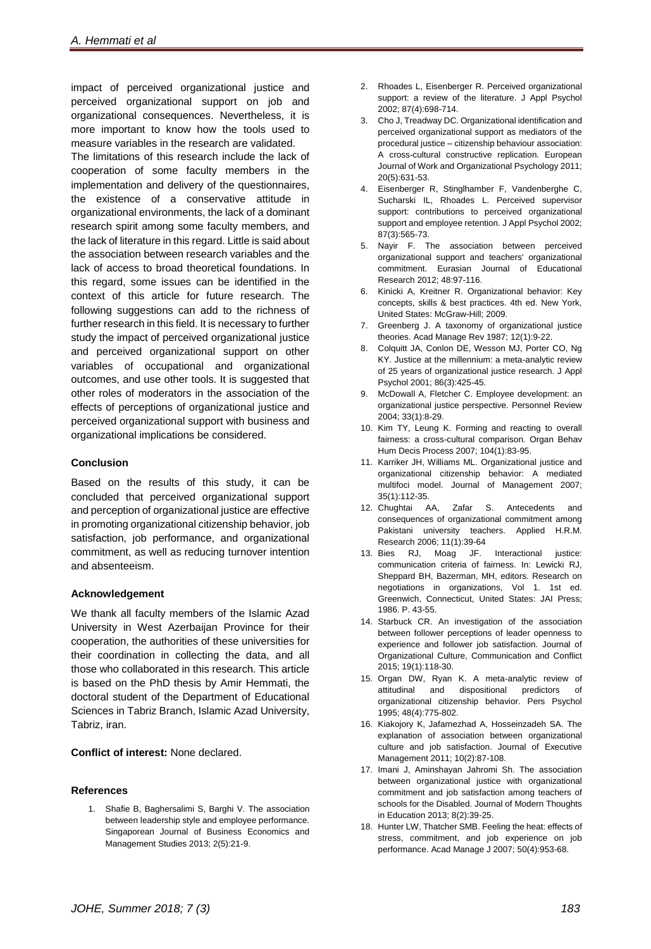impact of perceived organizational justice and perceived organizational support on job and organizational consequences. Nevertheless, it is more important to know how the tools used to measure variables in the research are validated.

The limitations of this research include the lack of cooperation of some faculty members in the implementation and delivery of the questionnaires, the existence of a conservative attitude in organizational environments, the lack of a dominant research spirit among some faculty members, and the lack of literature in this regard. Little is said about the association between research variables and the lack of access to broad theoretical foundations. In this regard, some issues can be identified in the context of this article for future research. The following suggestions can add to the richness of further research in this field. It is necessary to further study the impact of perceived organizational justice and perceived organizational support on other variables of occupational and organizational outcomes, and use other tools. It is suggested that other roles of moderators in the association of the effects of perceptions of organizational justice and perceived organizational support with business and organizational implications be considered.

# **Conclusion**

Based on the results of this study, it can be concluded that perceived organizational support and perception of organizational justice are effective in promoting organizational citizenship behavior, job satisfaction, job performance, and organizational commitment, as well as reducing turnover intention and absenteeism.

# **Acknowledgement**

We thank all faculty members of the Islamic Azad University in West Azerbaijan Province for their cooperation, the authorities of these universities for their coordination in collecting the data, and all those who collaborated in this research. This article is based on the PhD thesis by Amir Hemmati, the doctoral student of the Department of Educational Sciences in Tabriz Branch, Islamic Azad University, Tabriz, iran.

**Conflict of interest:** None declared.

# **References**

1. Shafie B, Baghersalimi S, Barghi V. The association between leadership style and employee performance. Singaporean Journal of Business Economics and Management Studies 2013; 2(5):21-9.

- 2. Rhoades L, Eisenberger R. Perceived organizational support: a review of the literature. J Appl Psychol 2002; 87(4):698-714.
- 3. Cho J, Treadway DC. Organizational identification and perceived organizational support as mediators of the procedural justice – citizenship behaviour association: A cross-cultural constructive replication. European Journal of Work and Organizational Psychology 2011; 20(5):631-53.
- 4. Eisenberger R, Stinglhamber F, Vandenberghe C, Sucharski IL, Rhoades L. Perceived supervisor support: contributions to perceived organizational support and employee retention. J Appl Psychol 2002; 87(3):565-73.
- 5. Nayir F. The association between perceived organizational support and teachers' organizational commitment. Eurasian Journal of Educational Research 2012; 48:97-116.
- 6. Kinicki A, Kreitner R. Organizational behavior: Key concepts, skills & best practices. 4th ed. New York, [United States:](https://en.wikipedia.org/wiki/United_States) McGraw-Hill; 2009.
- 7. Greenberg J. A taxonomy of organizational justice theories. Acad Manage Rev 1987; 12(1):9-22.
- 8. Colquitt JA, Conlon DE, Wesson MJ, Porter CO, Ng KY. Justice at the millennium: a meta-analytic review of 25 years of organizational justice research. J Appl Psychol 2001; 86(3):425-45.
- 9. McDowall A, Fletcher C. Employee development: an organizational justice perspective. Personnel Review 2004; 33(1):8-29.
- 10. Kim TY, Leung K. Forming and reacting to overall fairness: a cross-cultural comparison. Organ Behav Hum Decis Process 2007; 104(1):83-95.
- 11. Karriker JH, Williams ML. Organizational justice and organizational citizenship behavior: A mediated multifoci model. Journal of Management 2007; 35(1):112-35.
- 12. Chughtai AA, Zafar S. Antecedents and consequences of organizational commitment among Pakistani university teachers. Applied H.R.M. Research 2006; 11(1):39-64
- 13. Bies RJ, Moag JF. Interactional justice: communication criteria of fairness. In: Lewicki RJ, Sheppard BH, Bazerman, MH, editors. Research on negotiations in organizations, Vol 1. 1st ed. Greenwich, Connecticut, United States: JAI Press; 1986. P. 43-55.
- 14. Starbuck CR. An investigation of the association between follower perceptions of leader openness to experience and follower job satisfaction. Journal of Organizational Culture, Communication and Conflict 2015; 19(1):118-30.
- 15. Organ DW, Ryan K. A meta‐analytic review of attitudinal and dispositional predictors of organizational citizenship behavior. Pers Psychol 1995; 48(4):775-802.
- 16. Kiakojory K, Jafarnezhad A, Hosseinzadeh SA. The explanation of association between organizational culture and job satisfaction. Journal of Executive Management 2011; 10(2):87-108.
- 17. Imani J, Aminshayan Jahromi Sh. The association between organizational justice with organizational commitment and job satisfaction among teachers of schools for the Disabled. Journal of Modern Thoughts in Education 2013; 8(2):39-25.
- 18. Hunter LW, Thatcher SMB. Feeling the heat: effects of stress, commitment, and job experience on job performance. Acad Manage J 2007; 50(4):953-68.